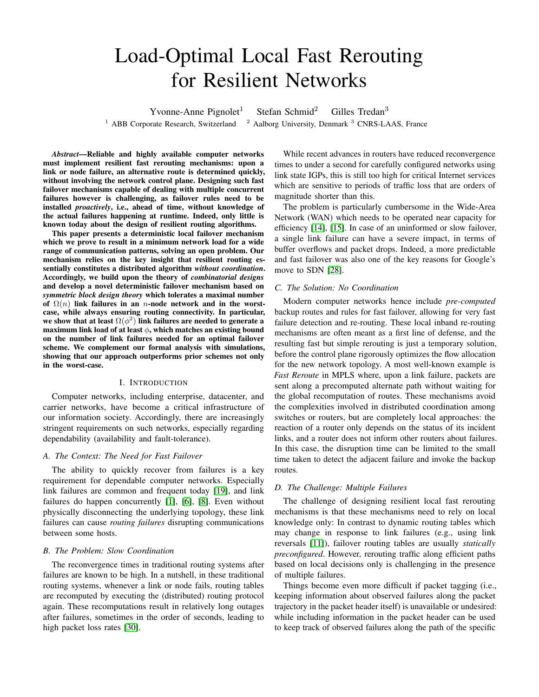# Load-Optimal Local Fast Rerouting for Resilient Networks

Yvonne-Anne Pignolet<sup>1</sup> Stefan Schmid<sup>2</sup> Gilles Tredan<sup>3</sup> <sup>1</sup> ABB Corporate Research, Switzerland  $2^2$  Aalborg University, Denmark <sup>3</sup> CNRS-LAAS, France

*Abstract*—Reliable and highly available computer networks must implement resilient fast rerouting mechanisms: upon a link or node failure, an alternative route is determined quickly, without involving the network control plane. Designing such fast failover mechanisms capable of dealing with multiple concurrent failures however is challenging, as failover rules need to be installed *proactively*, i.e., ahead of time, without knowledge of the actual failures happening at runtime. Indeed, only little is known today about the design of resilient routing algorithms.

This paper presents a deterministic local failover mechanism which we prove to result in a minimum network load for a wide range of communication patterns, solving an open problem. Our mechanism relies on the key insight that resilient routing essentially constitutes a distributed algorithm *without coordination*. Accordingly, we build upon the theory of *combinatorial designs* and develop a novel deterministic failover mechanism based on *symmetric block design theory* which tolerates a maximal number of  $\Omega(n)$  link failures in an *n*-node network and in the worstcase, while always ensuring routing connectivity. In particular, we show that at least  $\Omega(\phi^2)$  link failures are needed to generate a maximum link load of at least  $\phi$ , which matches an existing bound on the number of link failures needed for an optimal failover scheme. We complement our formal analysis with simulations, showing that our approach outperforms prior schemes not only in the worst-case.

#### I. INTRODUCTION

Computer networks, including enterprise, datacenter, and carrier networks, have become a critical infrastructure of our information society. Accordingly, there are increasingly stringent requirements on such networks, especially regarding dependability (availability and fault-tolerance).

#### *A. The Context: The Need for Fast Failover*

The ability to quickly recover from failures is a key requirement for dependable computer networks. Especially link failures are common and frequent today [\[19\]](#page-11-0), and link failures do happen concurrently [\[1\]](#page-10-0), [\[6\]](#page-10-1), [\[8\]](#page-10-2). Even without physically disconnecting the underlying topology, these link failures can cause *routing failures* disrupting communications between some hosts.

# *B. The Problem: Slow Coordination*

The reconvergence times in traditional routing systems after failures are known to be high. In a nutshell, in these traditional routing systems, whenever a link or node fails, routing tables are recomputed by executing the (distributed) routing protocol again. These recomputations result in relatively long outages after failures, sometimes in the order of seconds, leading to high packet loss rates [\[30\]](#page-11-1).

While recent advances in routers have reduced reconvergence times to under a second for carefully configured networks using link state IGPs, this is still too high for critical Internet services which are sensitive to periods of traffic loss that are orders of magnitude shorter than this.

The problem is particularly cumbersome in the Wide-Area Network (WAN) which needs to be operated near capacity for efficiency [\[14\]](#page-10-3), [\[15\]](#page-10-4). In case of an uninformed or slow failover, a single link failure can have a severe impact, in terms of buffer overflows and packet drops. Indeed, a more predictable and fast failover was also one of the key reasons for Google's move to SDN [\[28\]](#page-11-2).

#### *C. The Solution: No Coordination*

Modern computer networks hence include *pre-computed* backup routes and rules for fast failover, allowing for very fast failure detection and re-routing. These local inband re-routing mechanisms are often meant as a first line of defense, and the resulting fast but simple rerouting is just a temporary solution, before the control plane rigorously optimizes the flow allocation for the new network topology. A most well-known example is *Fast Reroute* in MPLS where, upon a link failure, packets are sent along a precomputed alternate path without waiting for the global recomputation of routes. These mechanisms avoid the complexities involved in distributed coordination among switches or routers, but are completely local approaches: the reaction of a router only depends on the status of its incident links, and a router does not inform other routers about failures. In this case, the disruption time can be limited to the small time taken to detect the adjacent failure and invoke the backup routes.

#### *D. The Challenge: Multiple Failures*

The challenge of designing resilient local fast rerouting mechanisms is that these mechanisms need to rely on local knowledge only: In contrast to dynamic routing tables which may change in response to link failures (e.g., using link reversals [\[11\]](#page-10-5)), failover routing tables are usually *statically preconfigured*. However, rerouting traffic along efficient paths based on local decisions only is challenging in the presence of multiple failures.

Things become even more difficult if packet tagging (i.e., keeping information about observed failures along the packet trajectory in the packet header itself) is unavailable or undesired: while including information in the packet header can be used to keep track of observed failures along the path of the specific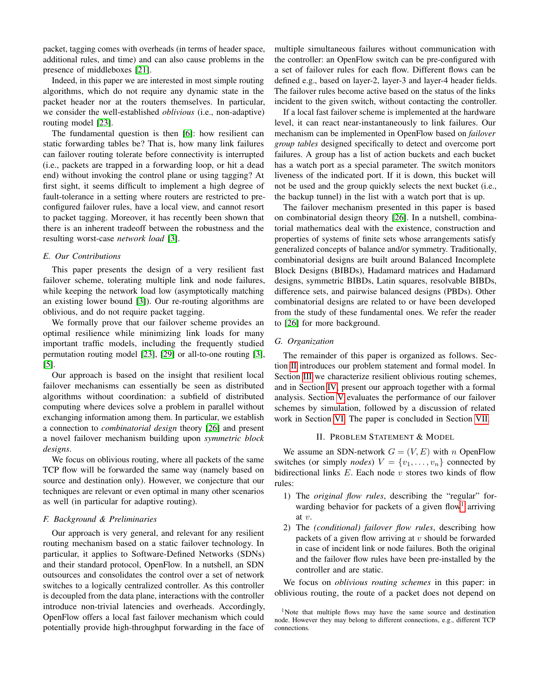packet, tagging comes with overheads (in terms of header space, additional rules, and time) and can also cause problems in the presence of middleboxes [\[21\]](#page-11-3).

Indeed, in this paper we are interested in most simple routing algorithms, which do not require any dynamic state in the packet header nor at the routers themselves. In particular, we consider the well-established *oblivious* (i.e., non-adaptive) routing model [\[23\]](#page-11-4).

The fundamental question is then [\[6\]](#page-10-1): how resilient can static forwarding tables be? That is, how many link failures can failover routing tolerate before connectivity is interrupted (i.e., packets are trapped in a forwarding loop, or hit a dead end) without invoking the control plane or using tagging? At first sight, it seems difficult to implement a high degree of fault-tolerance in a setting where routers are restricted to preconfigured failover rules, have a local view, and cannot resort to packet tagging. Moreover, it has recently been shown that there is an inherent tradeoff between the robustness and the resulting worst-case *network load* [\[3\]](#page-10-6).

# *E. Our Contributions*

This paper presents the design of a very resilient fast failover scheme, tolerating multiple link and node failures, while keeping the network load low (asymptotically matching an existing lower bound [\[3\]](#page-10-6)). Our re-routing algorithms are oblivious, and do not require packet tagging.

We formally prove that our failover scheme provides an optimal resilience while minimizing link loads for many important traffic models, including the frequently studied permutation routing model [\[23\]](#page-11-4), [\[29\]](#page-11-5) or all-to-one routing [\[3\]](#page-10-6), [\[5\]](#page-10-7).

Our approach is based on the insight that resilient local failover mechanisms can essentially be seen as distributed algorithms without coordination: a subfield of distributed computing where devices solve a problem in parallel without exchanging information among them. In particular, we establish a connection to *combinatorial design* theory [\[26\]](#page-11-6) and present a novel failover mechanism building upon *symmetric block designs*.

We focus on oblivious routing, where all packets of the same TCP flow will be forwarded the same way (namely based on source and destination only). However, we conjecture that our techniques are relevant or even optimal in many other scenarios as well (in particular for adaptive routing).

#### *F. Background & Preliminaries*

Our approach is very general, and relevant for any resilient routing mechanism based on a static failover technology. In particular, it applies to Software-Defined Networks (SDNs) and their standard protocol, OpenFlow. In a nutshell, an SDN outsources and consolidates the control over a set of network switches to a logically centralized controller. As this controller is decoupled from the data plane, interactions with the controller introduce non-trivial latencies and overheads. Accordingly, OpenFlow offers a local fast failover mechanism which could potentially provide high-throughput forwarding in the face of

multiple simultaneous failures without communication with the controller: an OpenFlow switch can be pre-configured with a set of failover rules for each flow. Different flows can be defined e.g., based on layer-2, layer-3 and layer-4 header fields. The failover rules become active based on the status of the links incident to the given switch, without contacting the controller.

If a local fast failover scheme is implemented at the hardware level, it can react near-instantaneously to link failures. Our mechanism can be implemented in OpenFlow based on *failover group tables* designed specifically to detect and overcome port failures. A group has a list of action buckets and each bucket has a watch port as a special parameter. The switch monitors liveness of the indicated port. If it is down, this bucket will not be used and the group quickly selects the next bucket (i.e., the backup tunnel) in the list with a watch port that is up.

The failover mechanism presented in this paper is based on combinatorial design theory [\[26\]](#page-11-6). In a nutshell, combinatorial mathematics deal with the existence, construction and properties of systems of finite sets whose arrangements satisfy generalized concepts of balance and/or symmetry. Traditionally, combinatorial designs are built around Balanced Incomplete Block Designs (BIBDs), Hadamard matrices and Hadamard designs, symmetric BIBDs, Latin squares, resolvable BIBDs, difference sets, and pairwise balanced designs (PBDs). Other combinatorial designs are related to or have been developed from the study of these fundamental ones. We refer the reader to [\[26\]](#page-11-6) for more background.

# *G. Organization*

The remainder of this paper is organized as follows. Section [II](#page-1-0) introduces our problem statement and formal model. In Section [III](#page-2-0) we characterize resilient oblivious routing schemes, and in Section [IV,](#page-3-0) present our approach together with a formal analysis. Section [V](#page-8-0) evaluates the performance of our failover schemes by simulation, followed by a discussion of related work in Section [VI.](#page-8-1) The paper is concluded in Section [VII.](#page-10-8)

# II. PROBLEM STATEMENT & MODEL

<span id="page-1-0"></span>We assume an SDN-network  $G = (V, E)$  with n OpenFlow switches (or simply *nodes*)  $V = \{v_1, \ldots, v_n\}$  connected by bidirectional links  $E$ . Each node  $v$  stores two kinds of flow rules:

- 1) The *original flow rules*, describing the "regular" for-warding behavior for packets of a given flow<sup>[1](#page-1-1)</sup> arriving at v.
- 2) The *(conditional) failover flow rules*, describing how packets of a given flow arriving at  $v$  should be forwarded in case of incident link or node failures. Both the original and the failover flow rules have been pre-installed by the controller and are static.

We focus on *oblivious routing schemes* in this paper: in oblivious routing, the route of a packet does not depend on

<span id="page-1-1"></span><sup>&</sup>lt;sup>1</sup>Note that multiple flows may have the same source and destination node. However they may belong to different connections, e.g., different TCP connections.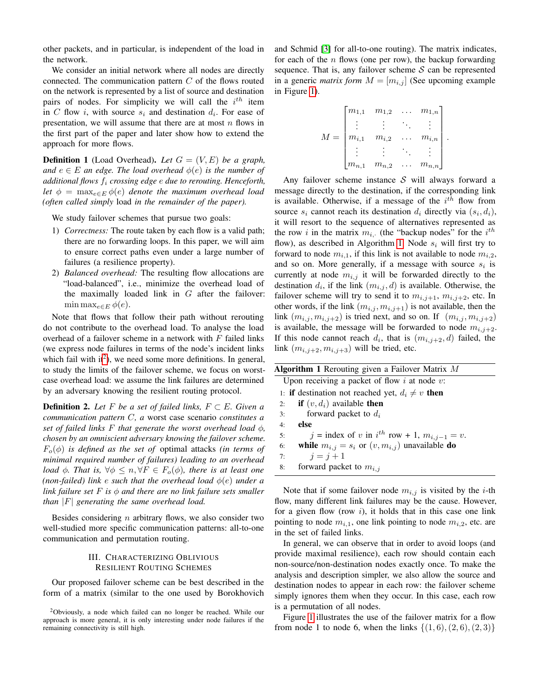other packets, and in particular, is independent of the load in the network.

We consider an initial network where all nodes are directly connected. The communication pattern  $C$  of the flows routed on the network is represented by a list of source and destination pairs of nodes. For simplicity we will call the  $i^{th}$  item in C flow i, with source  $s_i$  and destination  $d_i$ . For ease of presentation, we will assume that there are at most  $n$  flows in the first part of the paper and later show how to extend the approach for more flows.

**Definition 1** (Load Overhead). Let  $G = (V, E)$  be a graph, *and*  $e \in E$  *an edge. The load overhead*  $\phi(e)$  *is the number of additional flows* f<sup>i</sup> *crossing edge* e *due to rerouting. Henceforth, let*  $\phi = \max_{e \in E} \phi(e)$  *denote the maximum overhead load (often called simply* load *in the remainder of the paper).*

We study failover schemes that pursue two goals:

- 1) *Correctness:* The route taken by each flow is a valid path; there are no forwarding loops. In this paper, we will aim to ensure correct paths even under a large number of failures (a resilience property).
- 2) *Balanced overhead:* The resulting flow allocations are "load-balanced", i.e., minimize the overhead load of the maximally loaded link in  $G$  after the failover: min max $_{e\in E}\phi(e)$ .

Note that flows that follow their path without rerouting do not contribute to the overhead load. To analyse the load overhead of a failover scheme in a network with  $F$  failed links (we express node failures in terms of the node's incident links which fail with it<sup>[2](#page-2-1)</sup>), we need some more definitions. In general, to study the limits of the failover scheme, we focus on worstcase overhead load: we assume the link failures are determined by an adversary knowing the resilient routing protocol.

**Definition 2.** Let F be a set of failed links,  $F \subset E$ . Given a *communication pattern* C*, a* worst case scenario *constitutes a set of failed links* F *that generate the worst overhead load* φ*, chosen by an omniscient adversary knowing the failover scheme.*  $F<sub>o</sub>(\phi)$  *is defined as the set of* optimal attacks *(in terms of minimal required number of failures) leading to an overhead load*  $\phi$ *. That is,*  $\forall \phi \leq n, \forall F \in F_o(\phi)$ *, there is at least one (non-failed) link e such that the overhead load*  $\phi(e)$  *under a link failure set*  $F$  *is*  $\phi$  *and there are no link failure sets smaller than* |F| *generating the same overhead load.*

Besides considering  $n$  arbitrary flows, we also consider two well-studied more specific communication patterns: all-to-one communication and permutation routing.

# III. CHARACTERIZING OBLIVIOUS RESILIENT ROUTING SCHEMES

<span id="page-2-0"></span>Our proposed failover scheme can be best described in the form of a matrix (similar to the one used by Borokhovich and Schmid [\[3\]](#page-10-6) for all-to-one routing). The matrix indicates, for each of the  $n$  flows (one per row), the backup forwarding sequence. That is, any failover scheme  $S$  can be represented in a generic *matrix form*  $M = [m_{i,j}]$  (See upcoming example in Figure [1\)](#page-3-1).

$$
M = \begin{bmatrix} m_{1,1} & m_{1,2} & \dots & m_{1,n} \\ \vdots & \vdots & \ddots & \vdots \\ m_{i,1} & m_{i,2} & \dots & m_{i,n} \\ \vdots & \vdots & \ddots & \vdots \\ m_{n,1} & m_{n,2} & \dots & m_{n,n} \end{bmatrix}.
$$

Any failover scheme instance  $S$  will always forward a message directly to the destination, if the corresponding link is available. Otherwise, if a message of the  $i^{th}$  flow from source  $s_i$  cannot reach its destination  $d_i$  directly via  $(s_i, d_i)$ , it will resort to the sequence of alternatives represented as the row i in the matrix  $m_{i}$ , (the "backup nodes" for the  $i^{th}$ flow), as described in Algorithm [1.](#page-2-2) Node  $s_i$  will first try to forward to node  $m_{i,1}$ , if this link is not available to node  $m_{i,2}$ , and so on. More generally, if a message with source  $s_i$  is currently at node  $m_{i,j}$  it will be forwarded directly to the destination  $d_i$ , if the link  $(m_{i,j}, d)$  is available. Otherwise, the failover scheme will try to send it to  $m_{i,j+1}$ ,  $m_{i,j+2}$ , etc. In other words, if the link  $(m_{i,j}, m_{i,j+1})$  is not available, then the link  $(m_{i,j}, m_{i,j+2})$  is tried next, and so on. If  $(m_{i,j}, m_{i,j+2})$ is available, the message will be forwarded to node  $m_{i,j+2}$ . If this node cannot reach  $d_i$ , that is  $(m_{i,j+2}, d)$  failed, the link  $(m_{i,j+2}, m_{i,j+3})$  will be tried, etc.

<span id="page-2-2"></span>

| Upon receiving a packet of flow $i$ at node $v$ :<br>1: if destination not reached yet, $d_i \neq v$ then<br><b>if</b> $(v, d_i)$ available <b>then</b><br>2:<br>forward packet to $d_i$<br>3: |
|------------------------------------------------------------------------------------------------------------------------------------------------------------------------------------------------|
|                                                                                                                                                                                                |
|                                                                                                                                                                                                |
|                                                                                                                                                                                                |
|                                                                                                                                                                                                |
| else<br>4:                                                                                                                                                                                     |
| $j =$ index of v in $i^{th}$ row + 1, $m_{i,j-1} = v$ .<br>5:                                                                                                                                  |
| while $m_{i,j} = s_i$ or $(v, m_{i,j})$ unavailable do<br>6:                                                                                                                                   |
| $j = j + 1$<br>7:                                                                                                                                                                              |
| forward packet to $m_{i,j}$<br>8:                                                                                                                                                              |
|                                                                                                                                                                                                |

Note that if some failover node  $m_{i,j}$  is visited by the *i*-th flow, many different link failures may be the cause. However, for a given flow (row  $i$ ), it holds that in this case one link pointing to node  $m_{i,1}$ , one link pointing to node  $m_{i,2}$ , etc. are in the set of failed links.

In general, we can observe that in order to avoid loops (and provide maximal resilience), each row should contain each non-source/non-destination nodes exactly once. To make the analysis and description simpler, we also allow the source and destination nodes to appear in each row: the failover scheme simply ignores them when they occur. In this case, each row is a permutation of all nodes.

Figure [1](#page-3-1) illustrates the use of the failover matrix for a flow from node 1 to node 6, when the links  $\{(1,6), (2,6), (2,3)\}\$ 

<span id="page-2-1"></span><sup>&</sup>lt;sup>2</sup>Obviously, a node which failed can no longer be reached. While our approach is more general, it is only interesting under node failures if the remaining connectivity is still high.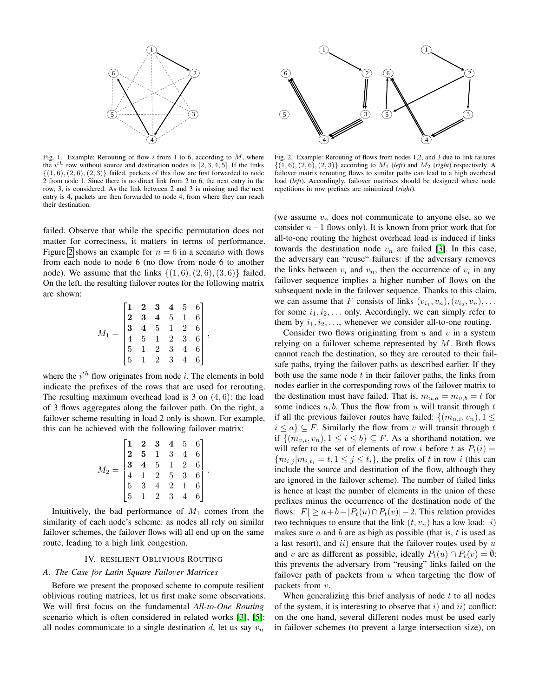

Fig. 1. Example: Rerouting of flow  $i$  from 1 to 6, according to  $M$ , where the  $i^{th}$  row without source and destination nodes is [2, 3, 4, 5]. If the links  $\{(1,6), (2,6), (2,3)\}\$  failed, packets of this flow are first forwarded to node 2 from node 1. Since there is no direct link from 2 to 6, the next entry in the row, 3, is considered. As the link between 2 and 3 is missing and the next entry is 4, packets are then forwarded to node 4, from where they can reach their destination.

failed. Observe that while the specific permutation does not matter for correctness, it matters in terms of performance. Figure [2](#page-3-2) shows an example for  $n = 6$  in a scenario with flows from each node to node 6 (no flow from node 6 to another node). We assume that the links  $\{(1,6), (2,6), (3,6)\}\$  failed. On the left, the resulting failover routes for the following matrix are shown:

$$
M_1 = \begin{bmatrix} 1 & 2 & 3 & 4 & 5 & 6 \\ 2 & 3 & 4 & 5 & 1 & 6 \\ 3 & 4 & 5 & 1 & 2 & 6 \\ 4 & 5 & 1 & 2 & 3 & 6 \\ 5 & 1 & 2 & 3 & 4 & 6 \\ 5 & 1 & 2 & 3 & 4 & 6 \end{bmatrix},
$$

where the  $i<sup>th</sup>$  flow originates from node i. The elements in bold indicate the prefixes of the rows that are used for rerouting. The resulting maximum overhead load is  $3$  on  $(4, 6)$ : the load of 3 flows aggregates along the failover path. On the right, a failover scheme resulting in load 2 only is shown. For example, this can be achieved with the following failover matrix:

$$
M_2 = \begin{bmatrix} 1 & 2 & 3 & 4 & 5 & 6 \\ 2 & 5 & 1 & 3 & 4 & 6 \\ 3 & 4 & 5 & 1 & 2 & 6 \\ 4 & 1 & 2 & 5 & 3 & 6 \\ 5 & 3 & 4 & 2 & 1 & 6 \\ 5 & 1 & 2 & 3 & 4 & 6 \end{bmatrix}.
$$

Intuitively, the bad performance of  $M_1$  comes from the similarity of each node's scheme: as nodes all rely on similar failover schemes, the failover flows will all end up on the same route, leading to a high link congestion.

#### IV. RESILIENT OBLIVIOUS ROUTING

# <span id="page-3-0"></span>*A. The Case for Latin Square Failover Matrices*

Before we present the proposed scheme to compute resilient oblivious routing matrices, let us first make some observations. We will first focus on the fundamental *All-to-One Routing* scenario which is often considered in related works [\[3\]](#page-10-6), [\[5\]](#page-10-7): all nodes communicate to a single destination d, let us say  $v_n$ 



<span id="page-3-2"></span><span id="page-3-1"></span>Fig. 2. Example: Rerouting of flows from nodes 1,2, and 3 due to link failures  $\{(1,6), (2,6), (2,3)\}\$  according to  $M_1$  (*left*) and  $M_2$  (*right*) respectively. A failover matrix rerouting flows to similar paths can lead to a high overhead load (*left*). Accordingly, failover matrixes should be designed where node repetitions in row prefixes are minimized (*right*).

(we assume  $v_n$  does not communicate to anyone else, so we consider  $n-1$  flows only). It is known from prior work that for all-to-one routing the highest overhead load is induced if links towards the destination node  $v_n$  are failed [\[3\]](#page-10-6). In this case, the adversary can "reuse" failures: if the adversary removes the links between  $v_i$  and  $v_n$ , then the occurrence of  $v_i$  in any failover sequence implies a higher number of flows on the subsequent node in the failover sequence. Thanks to this claim, we can assume that F consists of links  $(v_{i_1}, v_n), (v_{i_2}, v_n), \ldots$ for some  $i_1, i_2, \ldots$  only. Accordingly, we can simply refer to them by  $i_1, i_2, \ldots$ , whenever we consider all-to-one routing.

Consider two flows originating from  $u$  and  $v$  in a system relying on a failover scheme represented by  $M$ . Both flows cannot reach the destination, so they are rerouted to their failsafe paths, trying the failover paths as described earlier. If they both use the same node  $t$  in their failover paths, the links from nodes earlier in the corresponding rows of the failover matrix to the destination must have failed. That is,  $m_{u,a} = m_{v,b} = t$  for some indices  $a, b$ . Thus the flow from  $u$  will transit through  $t$ if all the previous failover routes have failed:  $\{(m_{u,i}, v_n), 1 \leq$  $i \leq a$   $\subseteq$  F. Similarly the flow from v will transit through t if  $\{(m_{v,i}, v_n), 1 \leq i \leq b\} \subseteq F$ . As a shorthand notation, we will refer to the set of elements of row i before t as  $P_t(i) =$  ${m_{i,j} | m_{i,t_i} = t, 1 \leq j \leq t_i}$ , the prefix of t in row i (this can include the source and destination of the flow, although they are ignored in the failover scheme). The number of failed links is hence at least the number of elements in the union of these prefixes minus the occurrence of the destination node of the flows:  $|F| \ge a+b-|P_t(u) \cap P_t(v)|-2$ . This relation provides two techniques to ensure that the link  $(t, v_n)$  has a low load: *i*) makes sure  $a$  and  $b$  are as high as possible (that is,  $t$  is used as a last resort), and  $ii$  ensure that the failover routes used by  $u$ and v are as different as possible, ideally  $P_t(u) \cap P_t(v) = \emptyset$ : this prevents the adversary from "reusing" links failed on the failover path of packets from  $u$  when targeting the flow of packets from v.

When generalizing this brief analysis of node  $t$  to all nodes of the system, it is interesting to observe that i) and ii) conflict: on the one hand, several different nodes must be used early in failover schemes (to prevent a large intersection size), on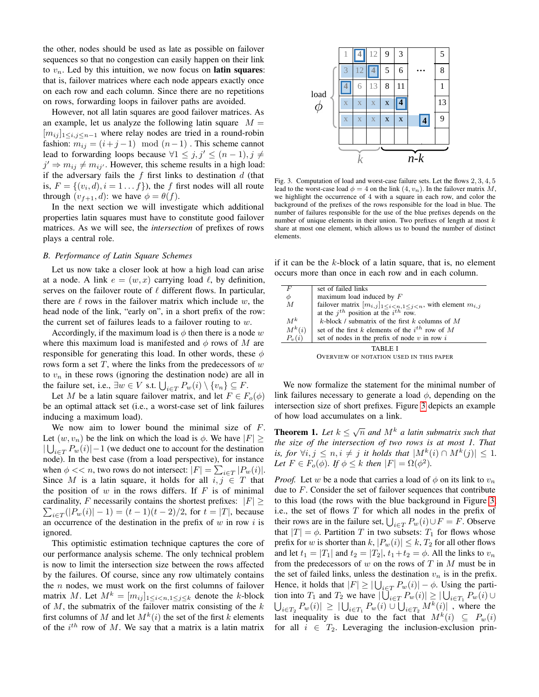the other, nodes should be used as late as possible on failover sequences so that no congestion can easily happen on their link to  $v_n$ . Led by this intuition, we now focus on **latin squares**: that is, failover matrices where each node appears exactly once on each row and each column. Since there are no repetitions on rows, forwarding loops in failover paths are avoided.

However, not all latin squares are good failover matrices. As an example, let us analyze the following latin square  $M =$  $[m_{ij}]_{1\leq i,j\leq n-1}$  where relay nodes are tried in a round-robin fashion:  $m_{ij} = (i+j-1) \mod (n-1)$ . This scheme cannot lead to forwarding loops because  $\forall 1 \leq j, j' \leq (n-1), j \neq j$  $j' \Rightarrow m_{ij} \neq m_{ij'}$ . However, this scheme results in a high load: if the adversary fails the  $f$  first links to destination  $d$  (that is,  $F = \{(v_i, d), i = 1, \dots f\}$ , the f first nodes will all route through  $(v_{f+1}, d)$ : we have  $\phi = \theta(f)$ .

In the next section we will investigate which additional properties latin squares must have to constitute good failover matrices. As we will see, the *intersection* of prefixes of rows plays a central role.

# *B. Performance of Latin Square Schemes*

Let us now take a closer look at how a high load can arise at a node. A link  $e = (w, x)$  carrying load  $\ell$ , by definition, serves on the failover route of  $\ell$  different flows. In particular, there are  $\ell$  rows in the failover matrix which include w, the head node of the link, "early on", in a short prefix of the row: the current set of failures leads to a failover routing to  $w$ .

Accordingly, if the maximum load is  $\phi$  then there is a node w where this maximum load is manifested and  $\phi$  rows of M are responsible for generating this load. In other words, these  $\phi$ rows form a set  $T$ , where the links from the predecessors of  $w$ to  $v_n$  in these rows (ignoring the destination node) are all in the failure set, i.e.,  $\exists w \in V$  s.t.  $\bigcup_{i \in T} P_w(i) \setminus \{v_n\} \subseteq F$ .

Let M be a latin square failover matrix, and let  $F \in F<sub>o</sub>(\phi)$ be an optimal attack set (i.e., a worst-case set of link failures inducing a maximum load).

We now aim to lower bound the minimal size of  $F$ . Let  $(w, v_n)$  be the link on which the load is  $\phi$ . We have  $|F| \ge$  $|\bigcup_{i \in T} P_w(i)| - 1$  (we deduct one to account for the destination node). In the best case (from a load perspective), for instance when  $\phi \ll n$ , two rows do not intersect:  $|F| = \sum_{i \in T} |P_w(i)|$ . Since M is a latin square, it holds for all  $i, j \in T$  that the position of  $w$  in the rows differs. If  $F$  is of minimal  $\sum_{i \in T} (|P_w(i)| - 1) = (t - 1)(t - 2)/2$ , for  $t = |T|$ , because cardinality, F necessarily contains the shortest prefixes:  $|F| \ge$ an occurrence of the destination in the prefix of  $w$  in row  $i$  is ignored.

This optimistic estimation technique captures the core of our performance analysis scheme. The only technical problem is now to limit the intersection size between the rows affected by the failures. Of course, since any row ultimately contains the  $n$  nodes, we must work on the first columns of failover matrix M. Let  $M^k = [m_{ij}]_{1 \le i \le n, 1 \le j \le k}$  denote the k-block of  $M$ , the submatrix of the failover matrix consisting of the  $k$ first columns of M and let  $M^k(i)$  the set of the first k elements of the  $i^{th}$  row of M. We say that a matrix is a latin matrix



<span id="page-4-0"></span>Fig. 3. Computation of load and worst-case failure sets. Let the flows 2, 3, 4, 5 lead to the worst-case load  $\phi = 4$  on the link  $(4, v_n)$ . In the failover matrix M, we highlight the occurrence of 4 with a square in each row, and color the background of the prefixes of the rows responsible for the load in blue. The number of failures responsible for the use of the blue prefixes depends on the number of unique elements in their union. Two prefixes of length at most  $k$ share at most one element, which allows us to bound the number of distinct elements.

if it can be the  $k$ -block of a latin square, that is, no element occurs more than once in each row and in each column.

|                | set of failed links                                                                                                              |  |  |  |  |
|----------------|----------------------------------------------------------------------------------------------------------------------------------|--|--|--|--|
| $\phi$         | maximum load induced by $F$                                                                                                      |  |  |  |  |
| $\overline{M}$ | failover matrix $[m_{i,j}]_{1\leq i\leq n,1\leq j\leq n}$ , with element $m_{i,j}$ at the $j^{th}$ position at the $i^{th}$ row. |  |  |  |  |
|                |                                                                                                                                  |  |  |  |  |
| $M^k$          | k-block / submatrix of the first k columns of $M$                                                                                |  |  |  |  |
| $M^k(i)$       | set of the first k elements of the $i^{th}$ row of M                                                                             |  |  |  |  |
| $P_v(i)$       | set of nodes in the prefix of node $v$ in row $i$                                                                                |  |  |  |  |
| TABLE I        |                                                                                                                                  |  |  |  |  |
|                | <b>OVERVIEW OF NOTATION USED IN THIS PAPER</b>                                                                                   |  |  |  |  |

We now formalize the statement for the minimal number of link failures necessary to generate a load  $\phi$ , depending on the intersection size of short prefixes. Figure [3](#page-4-0) depicts an example of how load accumulates on a link.

<span id="page-4-1"></span>**Theorem 1.** Let  $k \leq \sqrt{n}$  and  $M^k$  a latin submatrix such that *the size of the intersection of two rows is at most 1. That is, for*  $\forall i, j \leq n, i \neq j$  *it holds that*  $|M^k(i) \cap M^k(j)| \leq 1$ *. Let*  $F \in F_o(\phi)$ *. If*  $\phi \leq k$  *then*  $|F| = \Omega(\phi^2)$ *.* 

*Proof.* Let w be a node that carries a load of  $\phi$  on its link to  $v_n$ due to F. Consider the set of failover sequences that contribute to this load (the rows with the blue background in Figure [3,](#page-4-0) i.e., the set of flows  $T$  for which all nodes in the prefix of their rows are in the failure set,  $\bigcup_{i \in T} P_w(i) \cup F = F$ . Observe that  $|T| = \phi$ . Partition T in two subsets:  $T_1$  for flows whose prefix for w is shorter than  $k$ ,  $|P_w(i)| \leq k$ ,  $T_2$  for all other flows and let  $t_1 = |T_1|$  and  $t_2 = |T_2|$ ,  $t_1 + t_2 = \phi$ . All the links to  $v_n$ from the predecessors of  $w$  on the rows of  $T$  in  $M$  must be in the set of failed links, unless the destination  $v_n$  is in the prefix. Hence, it holds that  $|F| \geq |\bigcup_{i \in T} P_w(i)| - \phi$ . Using the partition into  $T_1$  and  $T_2$  we have  $|\bigcup_{i \in T} P_w(i)| \geq |\bigcup_{i \in T_1} P_w(i) \cup$  $|\bigcup_{i \in T_2} P_w(i)| \geq |\bigcup_{i \in T_1} P_w(i) \cup \bigcup_{i \in T_2} M^k(i)|$  , where the last inequality is due to the fact that  $M^k(i) \subseteq P_w(i)$ for all  $i \in T_2$ . Leveraging the inclusion-exclusion prin-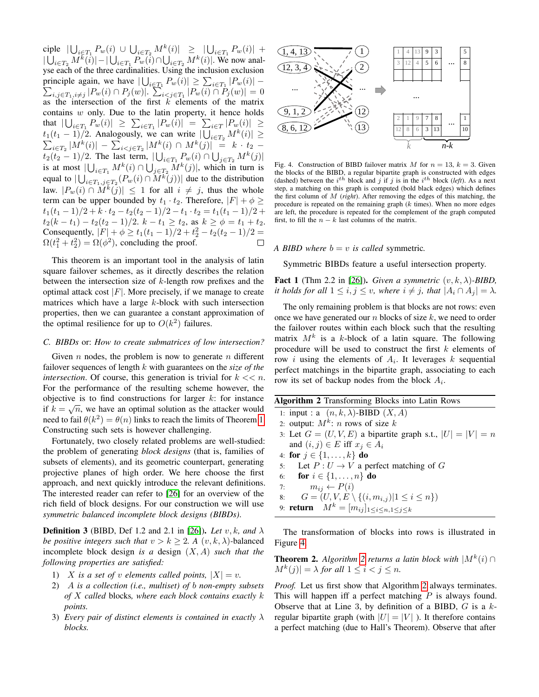ciple  $|\bigcup_{i \in T_1} P_w(i) \cup \bigcup_{i \in T_2} M^k(i)| \geq |\bigcup_{i \in T_1} P_w(i)| +$  $|\bigcup_{i \in T_2} M^{\bar{k}}(i)| - |\bigcup_{i \in T_1} P_w(i) \cap \bigcup_{i \in T_2} M^k(i)|$ . We now analyse each of the three cardinalities. Using the inclusion exclusion principle again, we have  $|\bigcup_{i \in T_1} P_w(i)| \ge \sum_{i \in T_1} |P_w(i)| - \sum_{i \in T_2} |P_w(i)| \ge \sum_{i \in T_1} |P_w(i)| - \sum_{i \in T_2} |P_w(i)| \ge \sum_{i \in T_2} |P_w(i)| \ge \sum_{i \in T_1} |P_w(i)| = 0$  $\sum_{i,j\in T_1,i\neq j}|P_w(i)\cap P_j(w)|.$   $\sum_{i< j\in T_1}|P_w(i)\cap P_j(w)|=0$ as the intersection of the first  $k$  elements of the matrix contains  $w$  only. Due to the latin property, it hence holds that  $|\bigcup_{i \in T_1} P_w(i)| \ge \sum_{i \in T_1} |P_w(i)| = \sum_{i \in T} |P_w(i)| \ge$  $t_1(t_1 - 1)/2$ . Analogously, we can write  $\bigcup_{i \in T_2} M^k$  $(i)| \geq$  $\sum_{i \in T_2} |M^k(i)| - \sum_{i < j \in T_2} |M^k(i) \cap M^k(j)| = k \cdot t_2 -$ P  $t_2(t_2 - 1)/2$ . The last term,  $|\bigcup_{i \in T_1} P_w(i) \cap \bigcup_{j \in T_2} M^k(j)|$ is at most  $|\bigcup_{i \in T_1} M^k(i) \cap \bigcup_{j \in T_2} M^k(j)|$ , which in turn is equal to  $|\bigcup_{i \in T_1, j \in T_2} (P_w(i) \cap M^k(j))|$  due to the distribution law.  $|P_w(i) \cap \tilde{M}^k(j)| \leq 1$  for all  $i \neq j$ , thus the whole term can be upper bounded by  $t_1 \cdot t_2$ . Therefore,  $|F| + \phi \geq$  $t_1(t_1-1)/2 + k \cdot t_2 - t_2(t_2-1)/2 - t_1 \cdot t_2 = t_1(t_1-1)/2 +$  $t_2(k-t_1)-t_2(t_2-1)/2.$   $k-t_1\geq t_2$ , as  $k\geq \phi=t_1+t_2$ . Consequently,  $|F| + \phi \ge t_1(t_1 - 1)/2 + t_2^2 - t_2(t_2 - 1)/2 =$  $\Omega(t_1^2 + t_2^2) = \Omega(\phi^2)$ , concluding the proof.  $\Box$ 

This theorem is an important tool in the analysis of latin square failover schemes, as it directly describes the relation between the intersection size of  $k$ -length row prefixes and the optimal attack cost  $|F|$ . More precisely, if we manage to create matrices which have a large k-block with such intersection properties, then we can guarantee a constant approximation of the optimal resilience for up to  $O(k^2)$  failures.

## *C. BIBDs* or: *How to create submatrices of low intersection?*

Given  $n$  nodes, the problem is now to generate  $n$  different failover sequences of length k with guarantees on the *size of the intersection*. Of course, this generation is trivial for  $k \ll n$ . For the performance of the resulting scheme however, the objective is to find constructions for larger  $k$ : for instance if  $k = \sqrt{n}$ , we have an optimal solution as the attacker would need to fail  $\theta(k^2) = \theta(n)$  links to reach the limits of Theorem [1.](#page-4-1) Constructing such sets is however challenging.

Fortunately, two closely related problems are well-studied: the problem of generating *block designs* (that is, families of subsets of elements), and its geometric counterpart, generating projective planes of high order. We here choose the first approach, and next quickly introduce the relevant definitions. The interested reader can refer to [\[26\]](#page-11-6) for an overview of the rich field of block designs. For our construction we will use *symmetric balanced incomplete block designs (BIBDs)*.

**Definition 3** (BIBD, Def 1.2 and 2.1 in [\[26\]](#page-11-6)). *Let* v, k, and  $\lambda$ *be positive integers such that*  $v > k > 2$ . A  $(v, k, \lambda)$ -balanced incomplete block design *is a* design (X, A) *such that the following properties are satisfied:*

- 1) X is a set of v elements called points,  $|X| = v$ .
- 2) A *is a collection (i.e., multiset) of* b *non-empty subsets of* X *called* blocks*, where each block contains exactly* k *points.*
- 3) *Every pair of distinct elements is contained in exactly* λ *blocks.*



<span id="page-5-0"></span>Fig. 4. Construction of BIBD failover matrix M for  $n = 13$ ,  $k = 3$ . Given the blocks of the BIBD, a regular bipartite graph is constructed with edges (dashed) between the  $i^{th}$  block and j if j is in the  $i^{th}$  block (*left*). As a next step, a matching on this graph is computed (bold black edges) which defines the first column of M (*right*). After removing the edges of this matching, the procedure is repeated on the remaining graph  $(k$  times). When no more edges are left, the procedure is repeated for the complement of the graph computed first, to fill the  $n - k$  last columns of the matrix.

*A BIBD where*  $b = v$  *is called symmetric.* 

Symmetric BIBDs feature a useful intersection property.

**Fact 1** (Thm 2.2 in [\[26\]](#page-11-6)). *Given a symmetric*  $(v, k, \lambda)$ -BIBD, *it holds for all*  $1 \leq i, j \leq v$ *, where*  $i \neq j$ *, that*  $|A_i \cap A_j| = \lambda$ *.* 

The only remaining problem is that blocks are not rows: even once we have generated our *n* blocks of size  $k$ , we need to order the failover routes within each block such that the resulting matrix  $M^k$  is a k-block of a latin square. The following procedure will be used to construct the first  $k$  elements of row *i* using the elements of  $A_i$ . It leverages k sequential perfect matchings in the bipartite graph, associating to each row its set of backup nodes from the block  $A_i$ .

<span id="page-5-1"></span>

| <b>Algorithm 2</b> Transforming Blocks into Latin Rows             |
|--------------------------------------------------------------------|
| 1: input : a $(n, k, \lambda)$ -BIBD $(X, A)$                      |
| 2: output: $M^k$ : <i>n</i> rows of size k                         |
| 3: Let $G = (U, V, E)$ a bipartite graph s.t., $ U  =  V  = n$     |
| and $(i, j) \in E$ iff $x_j \in A_i$                               |
| 4: for $j \in \{1, , k\}$ do                                       |
| Let $P: U \to V$ a perfect matching of G<br>5:                     |
| 6: <b>for</b> $i \in \{1, , n\}$ <b>do</b>                         |
| $m_{ij} \leftarrow P(i)$<br>7:                                     |
| $G = (U, V, E \setminus \{(i, m_{i,j})   1 \leq i \leq n\})$<br>8: |
| 9: <b>return</b> $M^k = [m_{ij}]_{1 \le i \le n, 1 \le j \le k}$   |

The transformation of blocks into rows is illustrated in Figure [4.](#page-5-0)

**Theorem [2](#page-5-1).** *Algorithm* 2 *returns a latin block with*  $|M^k(i)|$  $|M^k(j)| = \lambda$  *for all*  $1 \leq i < j \leq n$ *.* 

*Proof.* Let us first show that Algorithm [2](#page-5-1) always terminates. This will happen iff a perfect matching  $P$  is always found. Observe that at Line 3, by definition of a BIBD,  $G$  is a  $k$ regular bipartite graph (with  $|U| = |V|$ ). It therefore contains a perfect matching (due to Hall's Theorem). Observe that after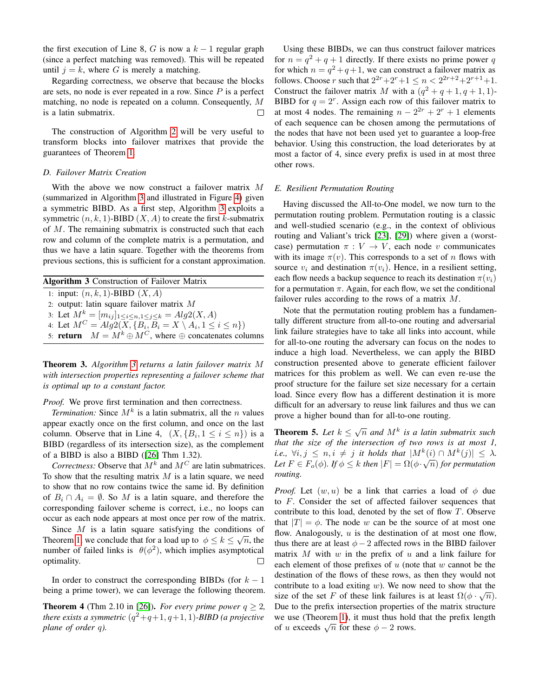the first execution of Line 8, G is now a  $k - 1$  regular graph (since a perfect matching was removed). This will be repeated until  $j = k$ , where G is merely a matching.

Regarding correctness, we observe that because the blocks are sets, no node is ever repeated in a row. Since  $P$  is a perfect matching, no node is repeated on a column. Consequently, M is a latin submatrix.  $\Box$ 

The construction of Algorithm [2](#page-5-1) will be very useful to transform blocks into failover matrixes that provide the guarantees of Theorem [1.](#page-4-1)

## *D. Failover Matrix Creation*

With the above we now construct a failover matrix M (summarized in Algorithm [3](#page-6-0) and illustrated in Figure [4\)](#page-5-0) given a symmetric BIBD. As a first step, Algorithm [3](#page-6-0) exploits a symmetric  $(n, k, 1)$ -BIBD  $(X, A)$  to create the first k-submatrix of M. The remaining submatrix is constructed such that each row and column of the complete matrix is a permutation, and thus we have a latin square. Together with the theorems from previous sections, this is sufficient for a constant approximation.

|  |  | <b>Algorithm 3 Construction of Failover Matrix</b> |  |  |  |  |
|--|--|----------------------------------------------------|--|--|--|--|
|--|--|----------------------------------------------------|--|--|--|--|

<span id="page-6-0"></span>1: input:  $(n, k, 1)$ -BIBD  $(X, A)$ 

2: output: latin square failover matrix  $M$ 

3: Let  $M^k = [m_{ij}]_{1 \le i \le n, 1 \le j \le k} = Alg2(X, A)$ 

4: Let  $M^C = Alg2(\overline{X}, \{B_i, B_i = X \setminus A_i, 1 \le i \le n\})$ 

5: **return**  $M = M^k \oplus M^C$ , where  $\oplus$  concatenates columns

<span id="page-6-2"></span>Theorem 3. *Algorithm [3](#page-6-0) returns a latin failover matrix* M *with intersection properties representing a failover scheme that is optimal up to a constant factor.*

*Proof.* We prove first termination and then correctness.

*Termination:* Since  $M^k$  is a latin submatrix, all the *n* values appear exactly once on the first column, and once on the last column. Observe that in Line 4,  $(X, {B_i, 1 \le i \le n})$  is a BIBD (regardless of its intersection size), as the complement of a BIBD is also a BIBD ([\[26\]](#page-11-6) Thm 1.32).

*Correctness:* Observe that  $M^k$  and  $M^C$  are latin submatrices. To show that the resulting matrix  $M$  is a latin square, we need to show that no row contains twice the same id. By definition of  $B_i \cap A_i = \emptyset$ . So M is a latin square, and therefore the corresponding failover scheme is correct, i.e., no loops can occur as each node appears at most once per row of the matrix.

Since  $M$  is a latin square satisfying the conditions of Theorem [1,](#page-4-1) we conclude that for a load up to  $\phi \leq k \leq \sqrt{n}$ , the number of failed links is  $\theta(\phi^2)$ , which implies asymptotical optimality.  $\Box$ 

In order to construct the corresponding BIBDs (for  $k - 1$ ) being a prime tower), we can leverage the following theorem.

**Theorem 4** (Thm 2.10 in [\[26\]](#page-11-6)). *For every prime power*  $q > 2$ , *there exists a symmetric* (q <sup>2</sup>+q+1, q+1, 1)*-BIBD (a projective plane of order* q*).*

Using these BIBDs, we can thus construct failover matrices for  $n = q^2 + q + 1$  directly. If there exists no prime power q for which  $n = q^2 + q + 1$ , we can construct a failover matrix as follows. Choose r such that  $2^{2r} + 2^r + 1 \le n < 2^{2r+2} + 2^{r+1} + 1$ . Construct the failover matrix M with a  $(q^2 + q + 1, q + 1, 1)$ -BIBD for  $q = 2<sup>r</sup>$ . Assign each row of this failover matrix to at most 4 nodes. The remaining  $n - 2^{2r} + 2^r + 1$  elements of each sequence can be chosen among the permutations of the nodes that have not been used yet to guarantee a loop-free behavior. Using this construction, the load deteriorates by at most a factor of 4, since every prefix is used in at most three other rows.

## *E. Resilient Permutation Routing*

Having discussed the All-to-One model, we now turn to the permutation routing problem. Permutation routing is a classic and well-studied scenario (e.g., in the context of oblivious routing and Valiant's trick [\[23\]](#page-11-4), [\[29\]](#page-11-5)) where given a (worstcase) permutation  $\pi : V \to V$ , each node v communicates with its image  $\pi(v)$ . This corresponds to a set of n flows with source  $v_i$  and destination  $\pi(v_i)$ . Hence, in a resilient setting, each flow needs a backup sequence to reach its destination  $\pi(v_i)$ for a permutation  $\pi$ . Again, for each flow, we set the conditional failover rules according to the rows of a matrix  $M$ .

Note that the permutation routing problem has a fundamentally different structure from all-to-one routing and adversarial link failure strategies have to take all links into account, while for all-to-one routing the adversary can focus on the nodes to induce a high load. Nevertheless, we can apply the BIBD construction presented above to generate efficient failover matrices for this problem as well. We can even re-use the proof structure for the failure set size necessary for a certain load. Since every flow has a different destination it is more difficult for an adversary to reuse link failures and thus we can prove a higher bound than for all-to-one routing.

<span id="page-6-1"></span>**Theorem 5.** Let  $k \leq \sqrt{n}$  and  $M^k$  is a latin submatrix such *that the size of the intersection of two rows is at most 1, i.e.*,  $\forall i, j \leq n, i \neq j$  *it holds that*  $|M^k(i) \cap M^k(j)| \leq \lambda$ . Let  $F \in F_o(\phi)$ . If  $\phi \leq k$  then  $|F| = \Omega(\phi \cdot \sqrt{n})$  for permutation *routing.*

*Proof.* Let  $(w, u)$  be a link that carries a load of  $\phi$  due to F. Consider the set of affected failover sequences that contribute to this load, denoted by the set of flow  $T$ . Observe that  $|T| = \phi$ . The node w can be the source of at most one flow. Analogously,  $u$  is the destination of at most one flow, thus there are at least  $\phi - 2$  affected rows in the BIBD failover matrix M with  $w$  in the prefix of  $u$  and a link failure for each element of those prefixes of  $u$  (note that  $w$  cannot be the destination of the flows of these rows, as then they would not contribute to a load exiting w). We now need to show that the size of the set F of these link failures is at least  $\Omega(\phi \cdot \sqrt{n})$ . Due to the prefix intersection properties of the matrix structure we use (Theorem [1\)](#page-4-1), it must thus hold that the prefix length we use (Theorem 1), it must mus not<br>of u exceeds  $\sqrt{n}$  for these  $\phi - 2$  rows.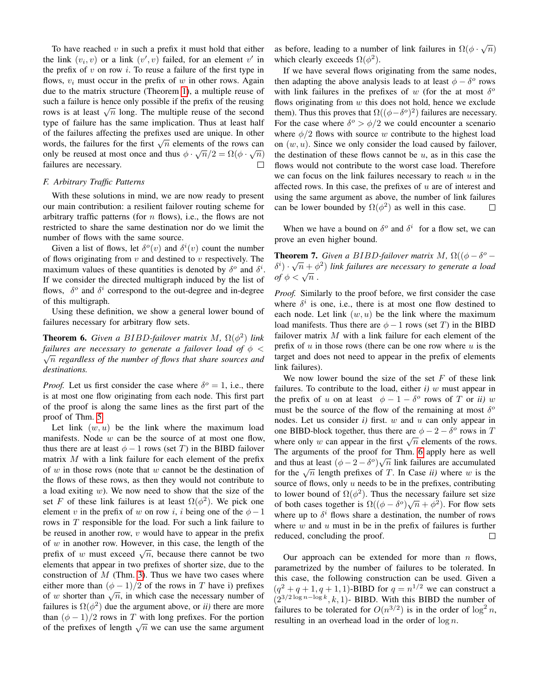To have reached  $v$  in such a prefix it must hold that either the link  $(v_i, v)$  or a link  $(v', v)$  failed, for an element v' in the prefix of  $v$  on row  $i$ . To reuse a failure of the first type in flows,  $v_i$  must occur in the prefix of w in other rows. Again due to the matrix structure (Theorem [1\)](#page-4-1), a multiple reuse of such a failure is hence only possible if the prefix of the reusing rows is at least  $\sqrt{n}$  long. The multiple reuse of the second type of failure has the same implication. Thus at least half of the failures affecting the prefixes used are unique. In other or the failures arecting the pierxes used are unique. In other<br>words, the failures for the first  $\sqrt{n}$  elements of the rows can only be reused at most once and thus  $\phi \cdot \sqrt{n}/2 = \Omega(\phi \cdot \sqrt{n})$ failures are necessary.  $\Box$ 

# *F. Arbitrary Traffic Patterns*

With these solutions in mind, we are now ready to present our main contribution: a resilient failover routing scheme for arbitrary traffic patterns (for  $n$  flows), i.e., the flows are not restricted to share the same destination nor do we limit the number of flows with the same source.

Given a list of flows, let  $\delta^o(v)$  and  $\delta^i(v)$  count the number of flows originating from  $v$  and destined to  $v$  respectively. The maximum values of these quantities is denoted by  $\delta^o$  and  $\delta^i$ . If we consider the directed multigraph induced by the list of flows,  $\delta^o$  and  $\delta^i$  correspond to the out-degree and in-degree of this multigraph.

Using these definition, we show a general lower bound of failures necessary for arbitrary flow sets.

<span id="page-7-0"></span>**Theorem 6.** *Given a BIBD-failover matrix M,*  $\Omega(\phi^2)$  *link failures are necessary to generate a failover load of* φ <  $\overline{C}$  $\sqrt{n}$  regardless of the number of flows that share sources and *destinations.*

*Proof.* Let us first consider the case where  $\delta^{\circ} = 1$ , i.e., there is at most one flow originating from each node. This first part of the proof is along the same lines as the first part of the proof of Thm. [5.](#page-6-1)

Let link  $(w, u)$  be the link where the maximum load manifests. Node  $w$  can be the source of at most one flow, thus there are at least  $\phi - 1$  rows (set T) in the BIBD failover matrix  $M$  with a link failure for each element of the prefix of  $w$  in those rows (note that  $w$  cannot be the destination of the flows of these rows, as then they would not contribute to a load exiting  $w$ ). We now need to show that the size of the set F of these link failures is at least  $\Omega(\phi^2)$ . We pick one element v in the prefix of w on row i, i being one of the  $\phi - 1$ rows in  $T$  responsible for the load. For such a link failure to be reused in another row,  $v$  would have to appear in the prefix of  $w$  in another row. However, in this case, the length of the be w in another fow. However, in this case, the length of the prefix of w must exceed  $\sqrt{n}$ , because there cannot be two elements that appear in two prefixes of shorter size, due to the construction of  $M$  (Thm. [3\)](#page-6-2). Thus we have two cases where either more than  $(\phi - 1)/2$  of the rows in T have i) prefixes of w shorter than  $\sqrt{n}$ , in which case the necessary number of failures is  $\Omega(\phi^2)$  due the argument above, or *ii*) there are more than  $(\phi - 1)/2$  rows in T with long prefixes. For the portion  $\varphi$  of the prefixes of length  $\sqrt{n}$  we can use the same argument

as before, leading to a number of link failures in  $\Omega(\phi \cdot \sqrt{n})$ which clearly exceeds  $\Omega(\phi^2)$ .

If we have several flows originating from the same nodes, then adapting the above analysis leads to at least  $\phi - \delta^{\circ}$  rows with link failures in the prefixes of w (for the at most  $\delta^o$ flows originating from  $w$  this does not hold, hence we exclude them). Thus this proves that  $\Omega((\phi - \delta^{\circ})^2)$  failures are necessary. For the case where  $\delta^{\circ} > \phi/2$  we could encounter a scenario where  $\phi/2$  flows with source w contribute to the highest load on  $(w, u)$ . Since we only consider the load caused by failover, the destination of these flows cannot be  $u$ , as in this case the flows would not contribute to the worst case load. Therefore we can focus on the link failures necessary to reach  $u$  in the affected rows. In this case, the prefixes of  $u$  are of interest and using the same argument as above, the number of link failures can be lower bounded by  $\Omega(\phi^2)$  as well in this case.  $\Box$ 

When we have a bound on  $\delta^o$  and  $\delta^i$  for a flow set, we can prove an even higher bound.

**Theorem 7.** *Given a BIBD-failover matrix*  $M$ ,  $\Omega((\phi - \delta^{\circ} - \delta^{\circ}))$  $\delta^{i}) \cdot \sqrt{n} + \phi^{2}$ ) link failures are necessary to generate a load  $\sigma$ *)*  $\cdot$   $\sqrt{n}$  +  $\varphi$ <br>*of*  $\phi$  <  $\sqrt{n}$  .

*Proof.* Similarly to the proof before, we first consider the case where  $\delta^i$  is one, i.e., there is at most one flow destined to each node. Let link  $(w, u)$  be the link where the maximum load manifests. Thus there are  $\phi - 1$  rows (set T) in the BIBD failover matrix M with a link failure for each element of the prefix of  $u$  in those rows (there can be one row where  $u$  is the target and does not need to appear in the prefix of elements link failures).

We now lower bound the size of the set  $F$  of these link failures. To contribute to the load, either  $i$ ) w must appear in the prefix of u on at least  $\phi - 1 - \delta^{\circ}$  rows of T or *ii*) w must be the source of the flow of the remaining at most  $\delta^o$ nodes. Let us consider *i)* first. w and u can only appear in one BIBD-block together, thus there are  $\phi - 2 - \delta^{\circ}$  rows in T where only w can appear in the first  $\sqrt{n}$  elements of the rows. The arguments of the proof for Thm. [6](#page-7-0) apply here as well and thus at least  $(\phi - 2 - \delta^{\circ})\sqrt{n}$  link failures are accumulated for the  $\sqrt{n}$  length prefixes of T. In Case *ii*) where w is the source of flows, only  $u$  needs to be in the prefixes, contributing to lower bound of  $\Omega(\phi^2)$ . Thus the necessary failure set size of both cases together is  $\Omega((\phi - \delta^{\circ})\sqrt{n} + \phi^2)$ . For flow sets where up to  $\delta^i$  flows share a destination, the number of rows where  $w$  and  $u$  must in be in the prefix of failures is further reduced, concluding the proof.  $\Box$ 

Our approach can be extended for more than  $n$  flows, parametrized by the number of failures to be tolerated. In this case, the following construction can be used. Given a  $(q^2 + q + 1, q + 1, 1)$ -BIBD for  $q = n^{1/2}$  we can construct a  $(2^{3/2 \log n - \log k}, k, 1)$ - BIBD. With this BIBD the number of failures to be tolerated for  $O(n^{3/2})$  is in the order of  $\log^2 n$ , resulting in an overhead load in the order of  $\log n$ .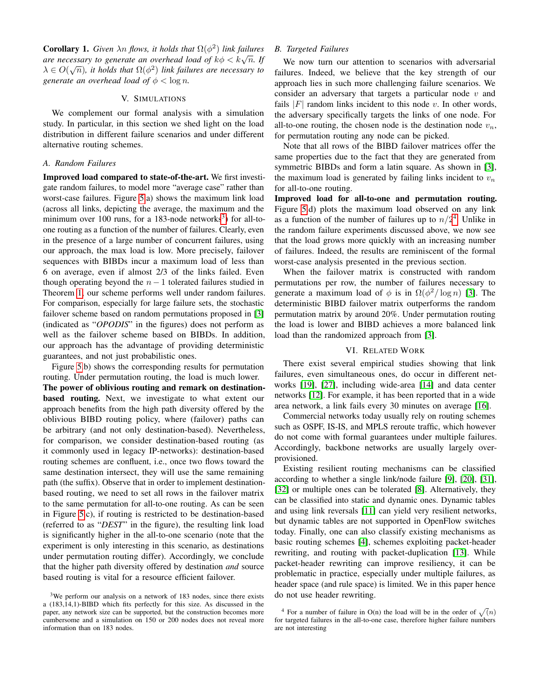**Corollary 1.** *Given*  $\lambda n$  *flows, it holds that*  $\Omega(\phi^2)$  *link failures* **Coronary 1.** Given  $\lambda h$  hows, it holds that  $\lambda(\varphi)$  thus failures<br>are necessary to generate an overhead load of  $k\phi < k\sqrt{n}$ . If  $\lambda \in O(\sqrt{n})$ , it holds that  $\Omega(\phi^2)$  link failures are necessary to *generate an overhead load of*  $\phi < \log n$ .

#### V. SIMULATIONS

<span id="page-8-0"></span>We complement our formal analysis with a simulation study. In particular, in this section we shed light on the load distribution in different failure scenarios and under different alternative routing schemes.

### *A. Random Failures*

Improved load compared to state-of-the-art. We first investigate random failures, to model more "average case" rather than worst-case failures. Figure [5.](#page-9-0)a) shows the maximum link load (across all links, depicting the average, the maximum and the minimum over 100 runs, for a 18[3](#page-8-2)-node networks<sup>3</sup>) for all-toone routing as a function of the number of failures. Clearly, even in the presence of a large number of concurrent failures, using our approach, the max load is low. More precisely, failover sequences with BIBDs incur a maximum load of less than 6 on average, even if almost 2/3 of the links failed. Even though operating beyond the  $n - 1$  tolerated failures studied in Theorem [1,](#page-4-1) our scheme performs well under random failures. For comparison, especially for large failure sets, the stochastic failover scheme based on random permutations proposed in [\[3\]](#page-10-6) (indicated as "*OPODIS*" in the figures) does not perform as well as the failover scheme based on BIBDs. In addition, our approach has the advantage of providing deterministic guarantees, and not just probabilistic ones.

Figure [5.](#page-9-0)b) shows the corresponding results for permutation routing. Under permutation routing, the load is much lower. The power of oblivious routing and remark on destinationbased routing. Next, we investigate to what extent our approach benefits from the high path diversity offered by the oblivious BIBD routing policy, where (failover) paths can be arbitrary (and not only destination-based). Nevertheless, for comparison, we consider destination-based routing (as it commonly used in legacy IP-networks): destination-based routing schemes are confluent, i.e., once two flows toward the same destination intersect, they will use the same remaining path (the suffix). Observe that in order to implement destinationbased routing, we need to set all rows in the failover matrix to the same permutation for all-to-one routing. As can be seen in Figure [5.](#page-9-0)c), if routing is restricted to be destination-based (referred to as "*DEST*" in the figure), the resulting link load is significantly higher in the all-to-one scenario (note that the experiment is only interesting in this scenario, as destinations under permutation routing differ). Accordingly, we conclude that the higher path diversity offered by destination *and* source based routing is vital for a resource efficient failover.

# *B. Targeted Failures*

We now turn our attention to scenarios with adversarial failures. Indeed, we believe that the key strength of our approach lies in such more challenging failure scenarios. We consider an adversary that targets a particular node  $v$  and fails  $|F|$  random links incident to this node v. In other words, the adversary specifically targets the links of one node. For all-to-one routing, the chosen node is the destination node  $v_n$ , for permutation routing any node can be picked.

Note that all rows of the BIBD failover matrices offer the same properties due to the fact that they are generated from symmetric BIBDs and form a latin square. As shown in [\[3\]](#page-10-6), the maximum load is generated by failing links incident to  $v_n$ for all-to-one routing.

Improved load for all-to-one and permutation routing. Figure [5.](#page-9-0)d) plots the maximum load observed on any link as a function of the number of failures up to  $n/2<sup>4</sup>$  $n/2<sup>4</sup>$  $n/2<sup>4</sup>$ . Unlike in the random failure experiments discussed above, we now see that the load grows more quickly with an increasing number of failures. Indeed, the results are reminiscent of the formal worst-case analysis presented in the previous section.

When the failover matrix is constructed with random permutations per row, the number of failures necessary to generate a maximum load of  $\phi$  is in  $\Omega(\phi^2/\log n)$  [\[3\]](#page-10-6). The deterministic BIBD failover matrix outperforms the random permutation matrix by around 20%. Under permutation routing the load is lower and BIBD achieves a more balanced link load than the randomized approach from [\[3\]](#page-10-6).

# VI. RELATED WORK

<span id="page-8-1"></span>There exist several empirical studies showing that link failures, even simultaneous ones, do occur in different networks [\[19\]](#page-11-0), [\[27\]](#page-11-7), including wide-area [\[14\]](#page-10-3) and data center networks [\[12\]](#page-10-9). For example, it has been reported that in a wide area network, a link fails every 30 minutes on average [\[16\]](#page-10-10).

Commercial networks today usually rely on routing schemes such as OSPF, IS-IS, and MPLS reroute traffic, which however do not come with formal guarantees under multiple failures. Accordingly, backbone networks are usually largely overprovisioned.

Existing resilient routing mechanisms can be classified according to whether a single link/node failure [\[9\]](#page-10-11), [\[20\]](#page-11-8), [\[31\]](#page-11-9), [\[32\]](#page-11-10) or multiple ones can be tolerated [\[8\]](#page-10-2). Alternatively, they can be classified into static and dynamic ones. Dynamic tables and using link reversals [\[11\]](#page-10-5) can yield very resilient networks, but dynamic tables are not supported in OpenFlow switches today. Finally, one can also classify existing mechanisms as basic routing schemes [\[4\]](#page-10-12), schemes exploiting packet-header rewriting, and routing with packet-duplication [\[13\]](#page-10-13). While packet-header rewriting can improve resiliency, it can be problematic in practice, especially under multiple failures, as header space (and rule space) is limited. We in this paper hence do not use header rewriting.

<span id="page-8-2"></span><sup>&</sup>lt;sup>3</sup>We perform our analysis on a network of 183 nodes, since there exists a (183,14,1)-BIBD which fits perfectly for this size. As discussed in the paper, any network size can be supported, but the construction becomes more cumbersome and a simulation on 150 or 200 nodes does not reveal more information than on 183 nodes.

<span id="page-8-3"></span><sup>&</sup>lt;sup>4</sup> For a number of failure in O(n) the load will be in the order of  $\sqrt(n)$ for targeted failures in the all-to-one case, therefore higher failure numbers are not interesting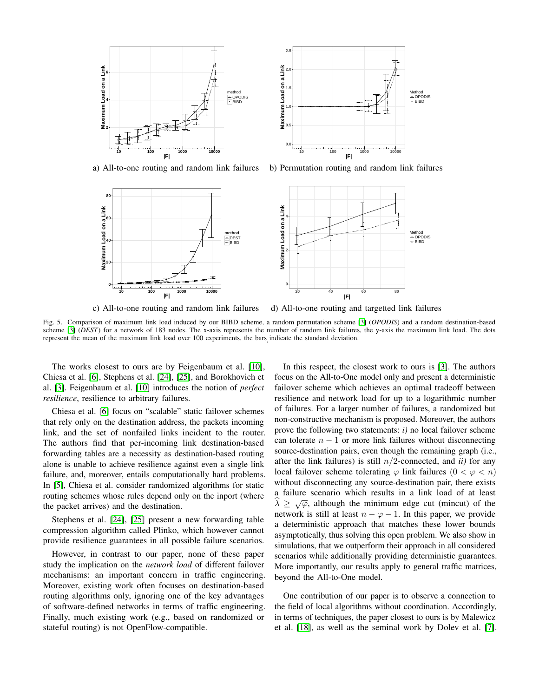

a) All-to-one routing and random link failures b) Permutation routing and random link failures



<span id="page-9-0"></span>



c) All-to-one routing and random link failures d) All-to-one routing and targetted link failures

Fig. 5. Comparison of maximum link load induced by our BIBD scheme, a random permutation scheme [\[3\]](#page-10-6) (*OPODIS*) and a random destination-based scheme [\[3\]](#page-10-6) (*DEST*) for a network of 183 nodes. The x-axis represents the number of random link failures, the y-axis the maximum link load. The dots represent the mean of the maximum link load over 100 experiments, the bars indicate the standard deviation. .

The works closest to ours are by Feigenbaum et al. [\[10\]](#page-10-14), Chiesa et al. [\[6\]](#page-10-1), Stephens et al. [\[24\]](#page-11-11), [\[25\]](#page-11-12), and Borokhovich et al. [\[3\]](#page-10-6). Feigenbaum et al. [\[10\]](#page-10-14) introduces the notion of *perfect resilience*, resilience to arbitrary failures.

Chiesa et al. [\[6\]](#page-10-1) focus on "scalable" static failover schemes that rely only on the destination address, the packets incoming link, and the set of nonfailed links incident to the router. The authors find that per-incoming link destination-based forwarding tables are a necessity as destination-based routing alone is unable to achieve resilience against even a single link failure, and, moreover, entails computationally hard problems. In [\[5\]](#page-10-7), Chiesa et al. consider randomized algorithms for static routing schemes whose rules depend only on the inport (where the packet arrives) and the destination.

Stephens et al. [\[24\]](#page-11-11), [\[25\]](#page-11-12) present a new forwarding table compression algorithm called Plinko, which however cannot provide resilience guarantees in all possible failure scenarios.

However, in contrast to our paper, none of these paper study the implication on the *network load* of different failover mechanisms: an important concern in traffic engineering. Moreover, existing work often focuses on destination-based routing algorithms only, ignoring one of the key advantages of software-defined networks in terms of traffic engineering. Finally, much existing work (e.g., based on randomized or stateful routing) is not OpenFlow-compatible.

In this respect, the closest work to ours is [\[3\]](#page-10-6). The authors focus on the All-to-One model only and present a deterministic failover scheme which achieves an optimal tradeoff between resilience and network load for up to a logarithmic number of failures. For a larger number of failures, a randomized but non-constructive mechanism is proposed. Moreover, the authors prove the following two statements: *i)* no local failover scheme can tolerate  $n - 1$  or more link failures without disconnecting source-destination pairs, even though the remaining graph (i.e., after the link failures) is still  $n/2$ -connected, and *ii*) for any local failover scheme tolerating  $\varphi$  link failures  $(0 < \varphi < n)$ without disconnecting any source-destination pair, there exists a failure scenario which results in a link load of at least  $\hat{\lambda} \geq \sqrt{\varphi}$ , although the minimum edge cut (mincut) of the network is still at least  $n - \varphi - 1$ . In this paper, we provide a deterministic approach that matches these lower bounds asymptotically, thus solving this open problem. We also show in simulations, that we outperform their approach in all considered scenarios while additionally providing deterministic guarantees. More importantly, our results apply to general traffic matrices, beyond the All-to-One model.

One contribution of our paper is to observe a connection to the field of local algorithms without coordination. Accordingly, in terms of techniques, the paper closest to ours is by Malewicz et al. [\[18\]](#page-11-13), as well as the seminal work by Dolev et al. [\[7\]](#page-10-15).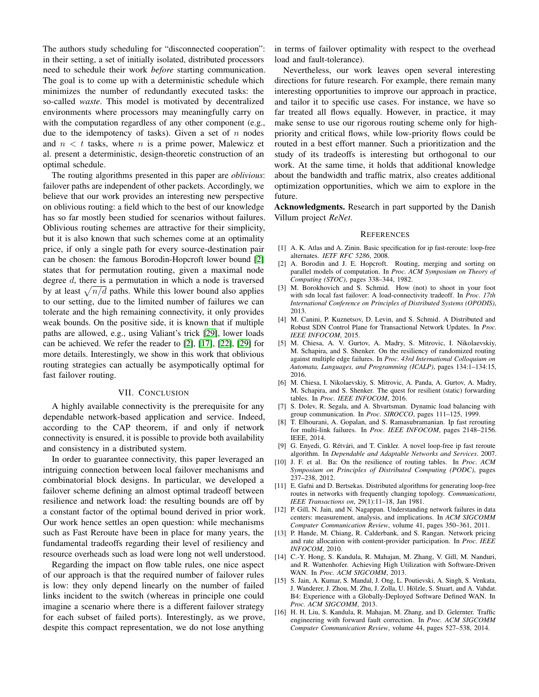The authors study scheduling for "disconnected cooperation": in their setting, a set of initially isolated, distributed processors need to schedule their work *before* starting communication. The goal is to come up with a deterministic schedule which minimizes the number of redundantly executed tasks: the so-called *waste*. This model is motivated by decentralized environments where processors may meaningfully carry on with the computation regardless of any other component (e.g., due to the idempotency of tasks). Given a set of  $n$  nodes and  $n < t$  tasks, where n is a prime power, Malewicz et al. present a deterministic, design-theoretic construction of an optimal schedule.

The routing algorithms presented in this paper are *oblivious*: failover paths are independent of other packets. Accordingly, we believe that our work provides an interesting new perspective on oblivious routing: a field which to the best of our knowledge has so far mostly been studied for scenarios without failures. Oblivious routing schemes are attractive for their simplicity, but it is also known that such schemes come at an optimality price, if only a single path for every source-destination pair can be chosen: the famous Borodin-Hopcroft lower bound [\[2\]](#page-10-16) states that for permutation routing, given a maximal node degree d, there is a permutation in which a node is traversed by at least  $\sqrt{n/d}$  paths. While this lower bound also applies to our setting, due to the limited number of failures we can tolerate and the high remaining connectivity, it only provides weak bounds. On the positive side, it is known that if multiple paths are allowed, e.g., using Valiant's trick [\[29\]](#page-11-5), lower loads can be achieved. We refer the reader to [\[2\]](#page-10-16), [\[17\]](#page-11-14), [\[22\]](#page-11-15), [\[29\]](#page-11-5) for more details. Interestingly, we show in this work that oblivious routing strategies can actually be asympotically optimal for fast failover routing.

### VII. CONCLUSION

<span id="page-10-8"></span>A highly available connectivity is the prerequisite for any dependable network-based application and service. Indeed, according to the CAP theorem, if and only if network connectivity is ensured, it is possible to provide both availability and consistency in a distributed system.

In order to guarantee connectivity, this paper leveraged an intriguing connection between local failover mechanisms and combinatorial block designs. In particular, we developed a failover scheme defining an almost optimal tradeoff between resilience and network load: the resulting bounds are off by a constant factor of the optimal bound derived in prior work. Our work hence settles an open question: while mechanisms such as Fast Reroute have been in place for many years, the fundamental tradeoffs regarding their level of resiliency and resource overheads such as load were long not well understood.

Regarding the impact on flow table rules, one nice aspect of our approach is that the required number of failover rules is low: they only depend linearly on the number of failed links incident to the switch (whereas in principle one could imagine a scenario where there is a different failover strategy for each subset of failed ports). Interestingly, as we prove, despite this compact representation, we do not lose anything

in terms of failover optimality with respect to the overhead load and fault-tolerance).

Nevertheless, our work leaves open several interesting directions for future research. For example, there remain many interesting opportunities to improve our approach in practice, and tailor it to specific use cases. For instance, we have so far treated all flows equally. However, in practice, it may make sense to use our rigorous routing scheme only for highpriority and critical flows, while low-priority flows could be routed in a best effort manner. Such a prioritization and the study of its tradeoffs is interesting but orthogonal to our work. At the same time, it holds that additional knowledge about the bandwidth and traffic matrix, also creates additional optimization opportunities, which we aim to explore in the future.

Acknowledgments. Research in part supported by the Danish Villum project *ReNet*.

#### **REFERENCES**

- <span id="page-10-0"></span>[1] A. K. Atlas and A. Zinin. Basic specification for ip fast-reroute: loop-free alternates. *IETF RFC 5286*, 2008.
- <span id="page-10-16"></span>[2] A. Borodin and J. E. Hopcroft. Routing, merging and sorting on parallel models of computation. In *Proc. ACM Symposium on Theory of Computing (STOC)*, pages 338–344, 1982.
- <span id="page-10-6"></span>[3] M. Borokhovich and S. Schmid. How (not) to shoot in your foot with sdn local fast failover: A load-connectivity tradeoff. In *Proc. 17th International Conference on Principles of Distributed Systems (OPODIS)*, 2013.
- <span id="page-10-12"></span>[4] M. Canini, P. Kuznetsov, D. Levin, and S. Schmid. A Distributed and Robust SDN Control Plane for Transactional Network Updates. In *Proc. IEEE INFOCOM*, 2015.
- <span id="page-10-7"></span>[5] M. Chiesa, A. V. Gurtov, A. Madry, S. Mitrovic, I. Nikolaevskiy, M. Schapira, and S. Shenker. On the resiliency of randomized routing against multiple edge failures. In *Proc. 43rd International Colloquium on Automata, Languages, and Programming (ICALP)*, pages 134:1–134:15, 2016.
- <span id="page-10-1"></span>[6] M. Chiesa, I. Nikolaevskiy, S. Mitrovic, A. Panda, A. Gurtov, A. Madry, M. Schapira, and S. Shenker. The quest for resilient (static) forwarding tables. In *Proc. IEEE INFOCOM*, 2016.
- <span id="page-10-15"></span>[7] S. Dolev, R. Segala, and A. Shvartsman. Dynamic load balancing with group communication. In *Proc. SIROCCO*, pages 111–125, 1999.
- <span id="page-10-2"></span>[8] T. Elhourani, A. Gopalan, and S. Ramasubramanian. Ip fast rerouting for multi-link failures. In *Proc. IEEE INFOCOM*, pages 2148–2156. IEEE, 2014.
- <span id="page-10-11"></span>[9] G. Enyedi, G. Rétvári, and T. Cinkler. A novel loop-free ip fast reroute algorithm. In *Dependable and Adaptable Networks and Services*. 2007.
- <span id="page-10-14"></span>[10] J. F. et al. Ba: On the resilience of routing tables. In *Proc. ACM Symposium on Principles of Distributed Computing (PODC)*, pages 237–238, 2012.
- <span id="page-10-5"></span>[11] E. Gafni and D. Bertsekas. Distributed algorithms for generating loop-free routes in networks with frequently changing topology. *Communications, IEEE Transactions on*, 29(1):11–18, Jan 1981.
- <span id="page-10-9"></span>[12] P. Gill, N. Jain, and N. Nagappan. Understanding network failures in data centers: measurement, analysis, and implications. In *ACM SIGCOMM Computer Communication Review*, volume 41, pages 350–361, 2011.
- <span id="page-10-13"></span>[13] P. Hande, M. Chiang, R. Calderbank, and S. Rangan. Network pricing and rate allocation with content-provider participation. In *Proc. IEEE INFOCOM*, 2010.
- <span id="page-10-3"></span>[14] C.-Y. Hong, S. Kandula, R. Mahajan, M. Zhang, V. Gill, M. Nanduri, and R. Wattenhofer. Achieving High Utilization with Software-Driven WAN. In *Proc. ACM SIGCOMM*, 2013.
- <span id="page-10-4"></span>[15] S. Jain, A. Kumar, S. Mandal, J. Ong, L. Poutievski, A. Singh, S. Venkata, J. Wanderer, J. Zhou, M. Zhu, J. Zolla, U. Hölzle, S. Stuart, and A. Vahdat. B4: Experience with a Globally-Deployed Software Defined WAN. In *Proc. ACM SIGCOMM*, 2013.
- <span id="page-10-10"></span>[16] H. H. Liu, S. Kandula, R. Mahajan, M. Zhang, and D. Gelernter. Traffic engineering with forward fault correction. In *Proc. ACM SIGCOMM Computer Communication Review*, volume 44, pages 527–538, 2014.